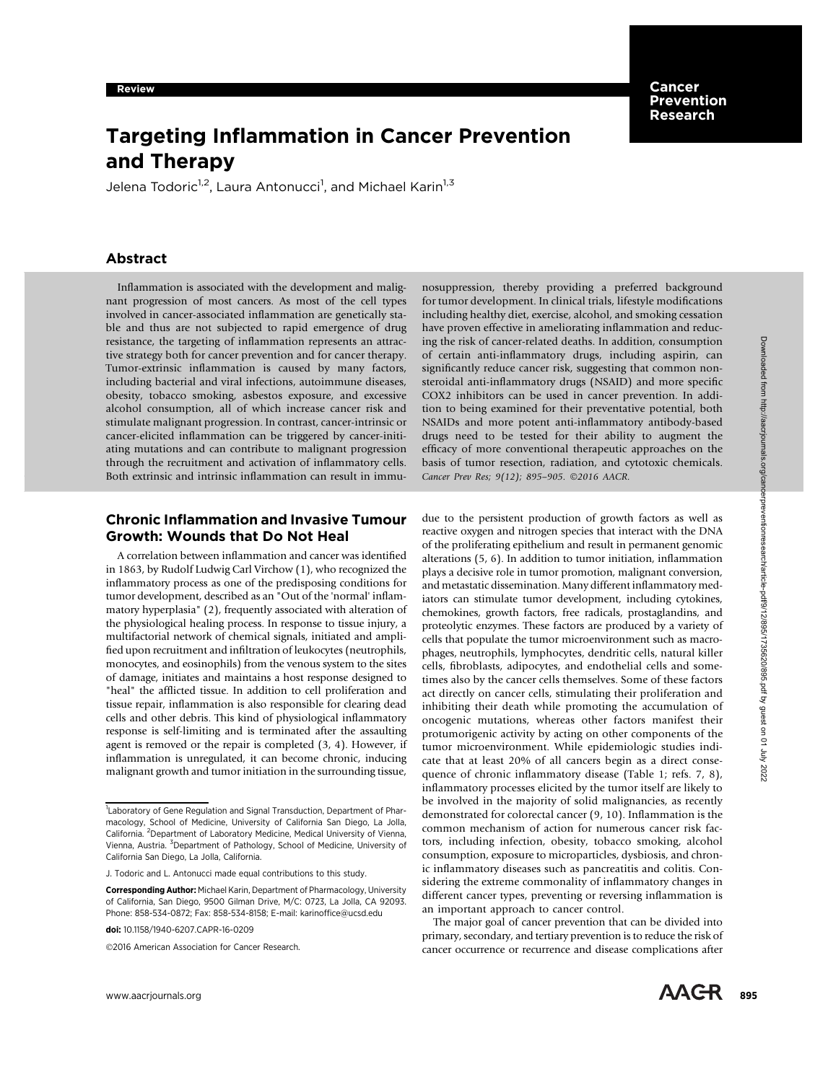# Targeting Inflammation in Cancer Prevention and Therapy

Jelena Todoric<sup>1,2</sup>. Laura Antonucci<sup>1</sup>, and Michael Karin<sup>1,3</sup>

## Abstract

Inflammation is associated with the development and malignant progression of most cancers. As most of the cell types involved in cancer-associated inflammation are genetically stable and thus are not subjected to rapid emergence of drug resistance, the targeting of inflammation represents an attractive strategy both for cancer prevention and for cancer therapy. Tumor-extrinsic inflammation is caused by many factors, including bacterial and viral infections, autoimmune diseases, obesity, tobacco smoking, asbestos exposure, and excessive alcohol consumption, all of which increase cancer risk and stimulate malignant progression. In contrast, cancer-intrinsic or cancer-elicited inflammation can be triggered by cancer-initiating mutations and can contribute to malignant progression through the recruitment and activation of inflammatory cells. Both extrinsic and intrinsic inflammation can result in immu-

## Chronic Inflammation and Invasive Tumour Growth: Wounds that Do Not Heal

A correlation between inflammation and cancer was identified in 1863, by Rudolf Ludwig Carl Virchow (1), who recognized the inflammatory process as one of the predisposing conditions for tumor development, described as an "Out of the 'normal' inflammatory hyperplasia" (2), frequently associated with alteration of the physiological healing process. In response to tissue injury, a multifactorial network of chemical signals, initiated and amplified upon recruitment and infiltration of leukocytes (neutrophils, monocytes, and eosinophils) from the venous system to the sites of damage, initiates and maintains a host response designed to "heal" the afflicted tissue. In addition to cell proliferation and tissue repair, inflammation is also responsible for clearing dead cells and other debris. This kind of physiological inflammatory response is self-limiting and is terminated after the assaulting agent is removed or the repair is completed (3, 4). However, if inflammation is unregulated, it can become chronic, inducing malignant growth and tumor initiation in the surrounding tissue,

nosuppression, thereby providing a preferred background for tumor development. In clinical trials, lifestyle modifications including healthy diet, exercise, alcohol, and smoking cessation have proven effective in ameliorating inflammation and reducing the risk of cancer-related deaths. In addition, consumption of certain anti-inflammatory drugs, including aspirin, can significantly reduce cancer risk, suggesting that common nonsteroidal anti-inflammatory drugs (NSAID) and more specific COX2 inhibitors can be used in cancer prevention. In addition to being examined for their preventative potential, both NSAIDs and more potent anti-inflammatory antibody-based drugs need to be tested for their ability to augment the efficacy of more conventional therapeutic approaches on the basis of tumor resection, radiation, and cytotoxic chemicals. Cancer Prev Res; 9(12); 895-905. ©2016 AACR.

due to the persistent production of growth factors as well as reactive oxygen and nitrogen species that interact with the DNA of the proliferating epithelium and result in permanent genomic alterations (5, 6). In addition to tumor initiation, inflammation plays a decisive role in tumor promotion, malignant conversion, and metastatic dissemination. Many different inflammatory mediators can stimulate tumor development, including cytokines, chemokines, growth factors, free radicals, prostaglandins, and proteolytic enzymes. These factors are produced by a variety of cells that populate the tumor microenvironment such as macrophages, neutrophils, lymphocytes, dendritic cells, natural killer cells, fibroblasts, adipocytes, and endothelial cells and sometimes also by the cancer cells themselves. Some of these factors act directly on cancer cells, stimulating their proliferation and inhibiting their death while promoting the accumulation of oncogenic mutations, whereas other factors manifest their protumorigenic activity by acting on other components of the tumor microenvironment. While epidemiologic studies indicate that at least 20% of all cancers begin as a direct consequence of chronic inflammatory disease (Table 1; refs. 7, 8), inflammatory processes elicited by the tumor itself are likely to be involved in the majority of solid malignancies, as recently demonstrated for colorectal cancer (9, 10). Inflammation is the common mechanism of action for numerous cancer risk factors, including infection, obesity, tobacco smoking, alcohol consumption, exposure to microparticles, dysbiosis, and chronic inflammatory diseases such as pancreatitis and colitis. Considering the extreme commonality of inflammatory changes in different cancer types, preventing or reversing inflammation is an important approach to cancer control.

The major goal of cancer prevention that can be divided into primary, secondary, and tertiary prevention is to reduce the risk of cancer occurrence or recurrence and disease complications after

<sup>&</sup>lt;sup>1</sup>Laboratory of Gene Regulation and Signal Transduction, Department of Pharmacology, School of Medicine, University of California San Diego, La Jolla, California. <sup>2</sup>Department of Laboratory Medicine, Medical University of Vienna, Vienna, Austria. <sup>3</sup>Department of Pathology, School of Medicine, University of California San Diego, La Jolla, California.

J. Todoric and L. Antonucci made equal contributions to this study.

Corresponding Author: Michael Karin, Department of Pharmacology, University of California, San Diego, 9500 Gilman Drive, M/C: 0723, La Jolla, CA 92093. Phone: 858-534-0872; Fax: 858-534-8158; E-mail: karinoffice@ucsd.edu

doi: 10.1158/1940-6207.CAPR-16-0209

<sup>2016</sup> American Association for Cancer Research.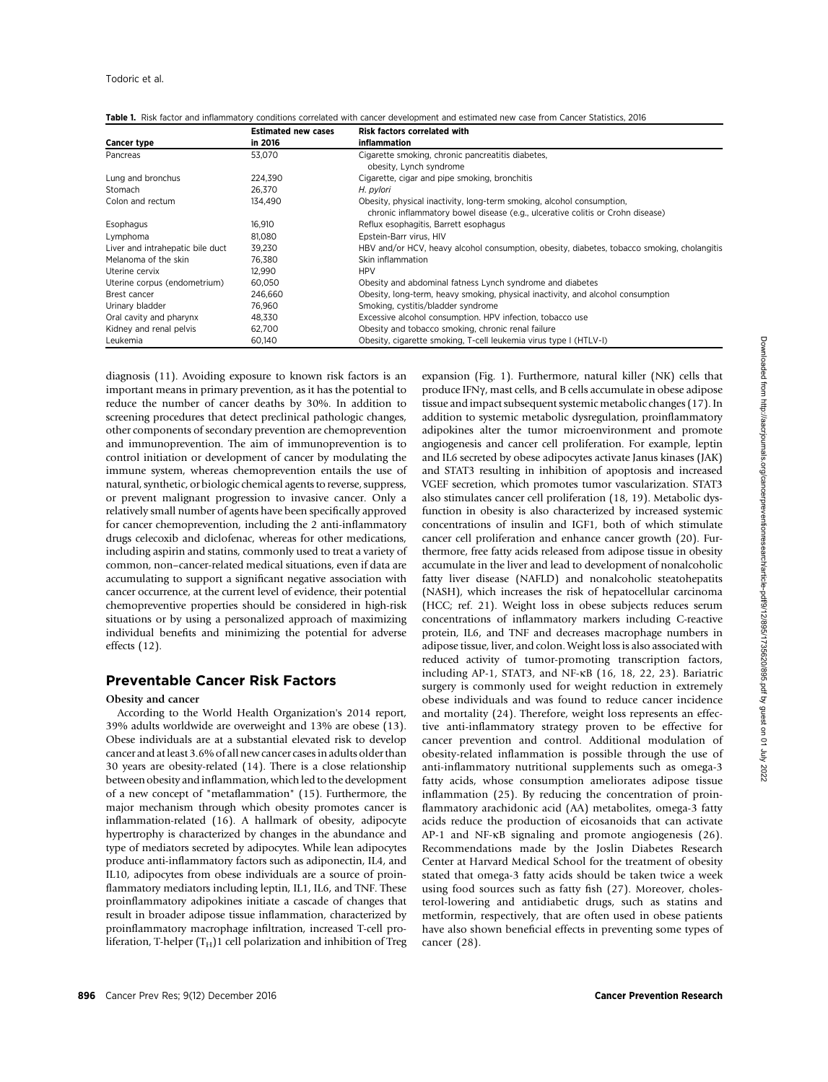|                                  | <b>Estimated new cases</b> | <b>Risk factors correlated with</b>                                                        |
|----------------------------------|----------------------------|--------------------------------------------------------------------------------------------|
| <b>Cancer type</b>               | in 2016                    | inflammation                                                                               |
| Pancreas                         | 53,070                     | Cigarette smoking, chronic pancreatitis diabetes,                                          |
|                                  |                            | obesity, Lynch syndrome                                                                    |
| Lung and bronchus                | 224,390                    | Cigarette, cigar and pipe smoking, bronchitis                                              |
| Stomach                          | 26.370                     | H. pylori                                                                                  |
| Colon and rectum                 | 134.490                    | Obesity, physical inactivity, long-term smoking, alcohol consumption,                      |
|                                  |                            | chronic inflammatory bowel disease (e.g., ulcerative colitis or Crohn disease)             |
| Esophagus                        | 16,910                     | Reflux esophagitis, Barrett esophagus                                                      |
| Lymphoma                         | 81,080                     | Epstein-Barr virus, HIV                                                                    |
| Liver and intrahepatic bile duct | 39,230                     | HBV and/or HCV, heavy alcohol consumption, obesity, diabetes, tobacco smoking, cholangitis |
| Melanoma of the skin             | 76.380                     | Skin inflammation                                                                          |
| Uterine cervix                   | 12.990                     | <b>HPV</b>                                                                                 |
| Uterine corpus (endometrium)     | 60,050                     | Obesity and abdominal fatness Lynch syndrome and diabetes                                  |
| Brest cancer                     | 246.660                    | Obesity, long-term, heavy smoking, physical inactivity, and alcohol consumption            |
| Urinary bladder                  | 76,960                     | Smoking, cystitis/bladder syndrome                                                         |
| Oral cavity and pharynx          | 48,330                     | Excessive alcohol consumption. HPV infection, tobacco use                                  |
| Kidney and renal pelvis          | 62,700                     | Obesity and tobacco smoking, chronic renal failure                                         |
| Leukemia                         | 60,140                     | Obesity, cigarette smoking, T-cell leukemia virus type I (HTLV-I)                          |

Table 1. Risk factor and inflammatory conditions correlated with cancer development and estimated new case from Cancer Statistics, 2016

diagnosis (11). Avoiding exposure to known risk factors is an important means in primary prevention, as it has the potential to reduce the number of cancer deaths by 30%. In addition to screening procedures that detect preclinical pathologic changes, other components of secondary prevention are chemoprevention and immunoprevention. The aim of immunoprevention is to control initiation or development of cancer by modulating the immune system, whereas chemoprevention entails the use of natural, synthetic, or biologic chemical agents to reverse, suppress, or prevent malignant progression to invasive cancer. Only a relatively small number of agents have been specifically approved for cancer chemoprevention, including the 2 anti-inflammatory drugs celecoxib and diclofenac, whereas for other medications, including aspirin and statins, commonly used to treat a variety of common, non–cancer-related medical situations, even if data are accumulating to support a significant negative association with cancer occurrence, at the current level of evidence, their potential chemopreventive properties should be considered in high-risk situations or by using a personalized approach of maximizing individual benefits and minimizing the potential for adverse effects (12).

## Preventable Cancer Risk Factors

#### Obesity and cancer

According to the World Health Organization's 2014 report, 39% adults worldwide are overweight and 13% are obese (13). Obese individuals are at a substantial elevated risk to develop cancer and at least 3.6% of all new cancer cases in adults older than 30 years are obesity-related (14). There is a close relationship between obesity and inflammation, which led to the development of a new concept of "metaflammation" (15). Furthermore, the major mechanism through which obesity promotes cancer is inflammation-related (16). A hallmark of obesity, adipocyte hypertrophy is characterized by changes in the abundance and type of mediators secreted by adipocytes. While lean adipocytes produce anti-inflammatory factors such as adiponectin, IL4, and IL10, adipocytes from obese individuals are a source of proinflammatory mediators including leptin, IL1, IL6, and TNF. These proinflammatory adipokines initiate a cascade of changes that result in broader adipose tissue inflammation, characterized by proinflammatory macrophage infiltration, increased T-cell proliferation, T-helper  $(T_H)1$  cell polarization and inhibition of Treg

expansion (Fig. 1). Furthermore, natural killer (NK) cells that produce IFNg, mast cells, and B cells accumulate in obese adipose tissue and impact subsequent systemic metabolic changes (17). In addition to systemic metabolic dysregulation, proinflammatory adipokines alter the tumor microenvironment and promote angiogenesis and cancer cell proliferation. For example, leptin and IL6 secreted by obese adipocytes activate Janus kinases (JAK) and STAT3 resulting in inhibition of apoptosis and increased VGEF secretion, which promotes tumor vascularization. STAT3 also stimulates cancer cell proliferation (18, 19). Metabolic dysfunction in obesity is also characterized by increased systemic concentrations of insulin and IGF1, both of which stimulate cancer cell proliferation and enhance cancer growth (20). Furthermore, free fatty acids released from adipose tissue in obesity accumulate in the liver and lead to development of nonalcoholic fatty liver disease (NAFLD) and nonalcoholic steatohepatits (NASH), which increases the risk of hepatocellular carcinoma (HCC; ref. 21). Weight loss in obese subjects reduces serum concentrations of inflammatory markers including C-reactive protein, IL6, and TNF and decreases macrophage numbers in adipose tissue, liver, and colon. Weight loss is also associated with reduced activity of tumor-promoting transcription factors, including AP-1, STAT3, and NF-kB (16, 18, 22, 23). Bariatric surgery is commonly used for weight reduction in extremely obese individuals and was found to reduce cancer incidence and mortality (24). Therefore, weight loss represents an effective anti-inflammatory strategy proven to be effective for cancer prevention and control. Additional modulation of obesity-related inflammation is possible through the use of anti-inflammatory nutritional supplements such as omega-3 fatty acids, whose consumption ameliorates adipose tissue inflammation (25). By reducing the concentration of proinflammatory arachidonic acid (AA) metabolites, omega-3 fatty acids reduce the production of eicosanoids that can activate AP-1 and NF-kB signaling and promote angiogenesis (26). Recommendations made by the Joslin Diabetes Research Center at Harvard Medical School for the treatment of obesity stated that omega-3 fatty acids should be taken twice a week using food sources such as fatty fish (27). Moreover, cholesterol-lowering and antidiabetic drugs, such as statins and metformin, respectively, that are often used in obese patients have also shown beneficial effects in preventing some types of cancer (28).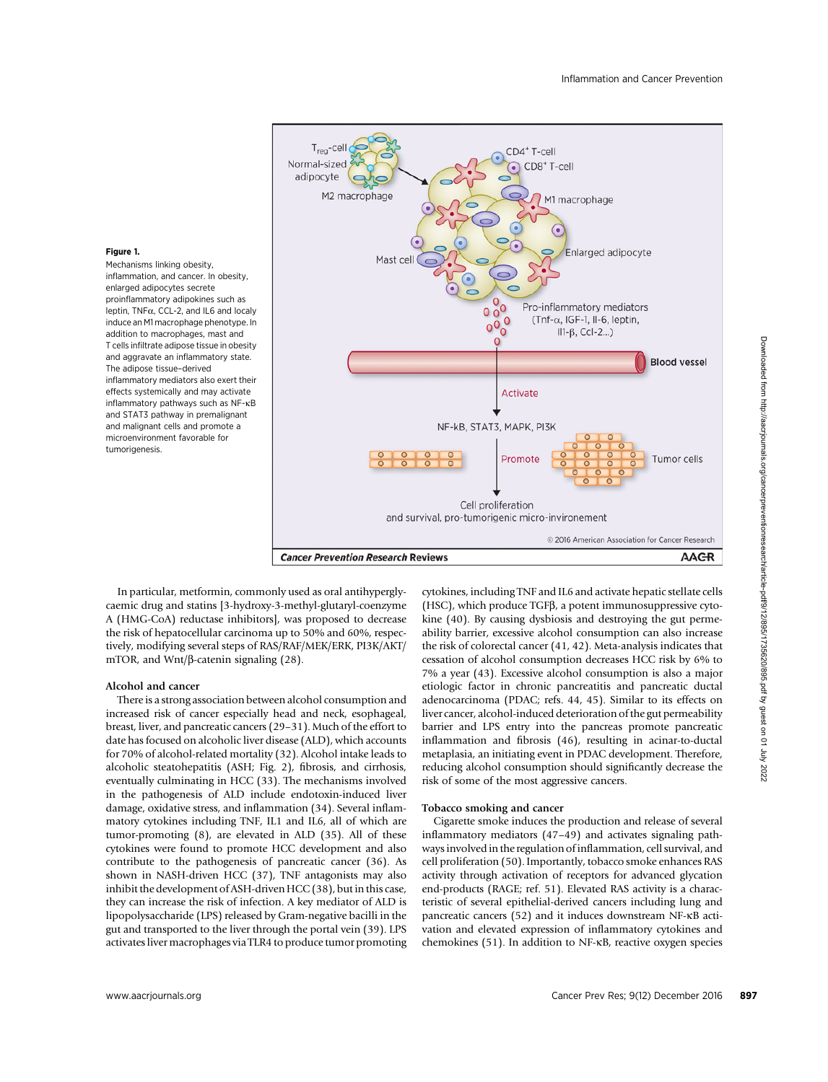

#### Figure 1.

Mechanisms linking obesity, inflammation, and cancer. In obesity, enlarged adipocytes secrete proinflammatory adipokines such as leptin, TNFa, CCL-2, and IL6 and localy induce an M1 macrophage phenotype. In addition to macrophages, mast and T cells infiltrate adipose tissue in obesity and aggravate an inflammatory state. The adipose tissue–derived inflammatory mediators also exert their effects systemically and may activate inflammatory pathways such as NF-k<sup>B</sup> and STAT3 pathway in premalignant and malignant cells and promote a microenvironment favorable for tumorigenesis.

In particular, metformin, commonly used as oral antihyperglycaemic drug and statins [3-hydroxy-3-methyl-glutaryl-coenzyme A (HMG-CoA) reductase inhibitors], was proposed to decrease the risk of hepatocellular carcinoma up to 50% and 60%, respectively, modifying several steps of RAS/RAF/MEK/ERK, PI3K/AKT/ mTOR, and Wnt/ $\beta$ -catenin signaling (28).

#### Alcohol and cancer

There is a strong association between alcohol consumption and increased risk of cancer especially head and neck, esophageal, breast, liver, and pancreatic cancers (29–31). Much of the effort to date has focused on alcoholic liver disease (ALD), which accounts for 70% of alcohol-related mortality (32). Alcohol intake leads to alcoholic steatohepatitis (ASH; Fig. 2), fibrosis, and cirrhosis, eventually culminating in HCC (33). The mechanisms involved in the pathogenesis of ALD include endotoxin-induced liver damage, oxidative stress, and inflammation (34). Several inflammatory cytokines including TNF, IL1 and IL6, all of which are tumor-promoting (8), are elevated in ALD (35). All of these cytokines were found to promote HCC development and also contribute to the pathogenesis of pancreatic cancer (36). As shown in NASH-driven HCC (37), TNF antagonists may also inhibit the development of ASH-driven HCC (38), but in this case, they can increase the risk of infection. A key mediator of ALD is lipopolysaccharide (LPS) released by Gram-negative bacilli in the gut and transported to the liver through the portal vein (39). LPS activates liver macrophages via TLR4 to produce tumor promoting cytokines, including TNF and IL6 and activate hepatic stellate cells (HSC), which produce TGFb, a potent immunosuppressive cytokine (40). By causing dysbiosis and destroying the gut permeability barrier, excessive alcohol consumption can also increase the risk of colorectal cancer (41, 42). Meta-analysis indicates that cessation of alcohol consumption decreases HCC risk by 6% to 7% a year (43). Excessive alcohol consumption is also a major etiologic factor in chronic pancreatitis and pancreatic ductal adenocarcinoma (PDAC; refs. 44, 45). Similar to its effects on liver cancer, alcohol-induced deterioration of the gut permeability barrier and LPS entry into the pancreas promote pancreatic inflammation and fibrosis (46), resulting in acinar-to-ductal metaplasia, an initiating event in PDAC development. Therefore, reducing alcohol consumption should significantly decrease the risk of some of the most aggressive cancers.

### Tobacco smoking and cancer

Cigarette smoke induces the production and release of several inflammatory mediators (47–49) and activates signaling pathways involved in the regulation of inflammation, cell survival, and cell proliferation (50). Importantly, tobacco smoke enhances RAS activity through activation of receptors for advanced glycation end-products (RAGE; ref. 51). Elevated RAS activity is a characteristic of several epithelial-derived cancers including lung and pancreatic cancers (52) and it induces downstream NF-kB activation and elevated expression of inflammatory cytokines and chemokines (51). In addition to NF-kB, reactive oxygen species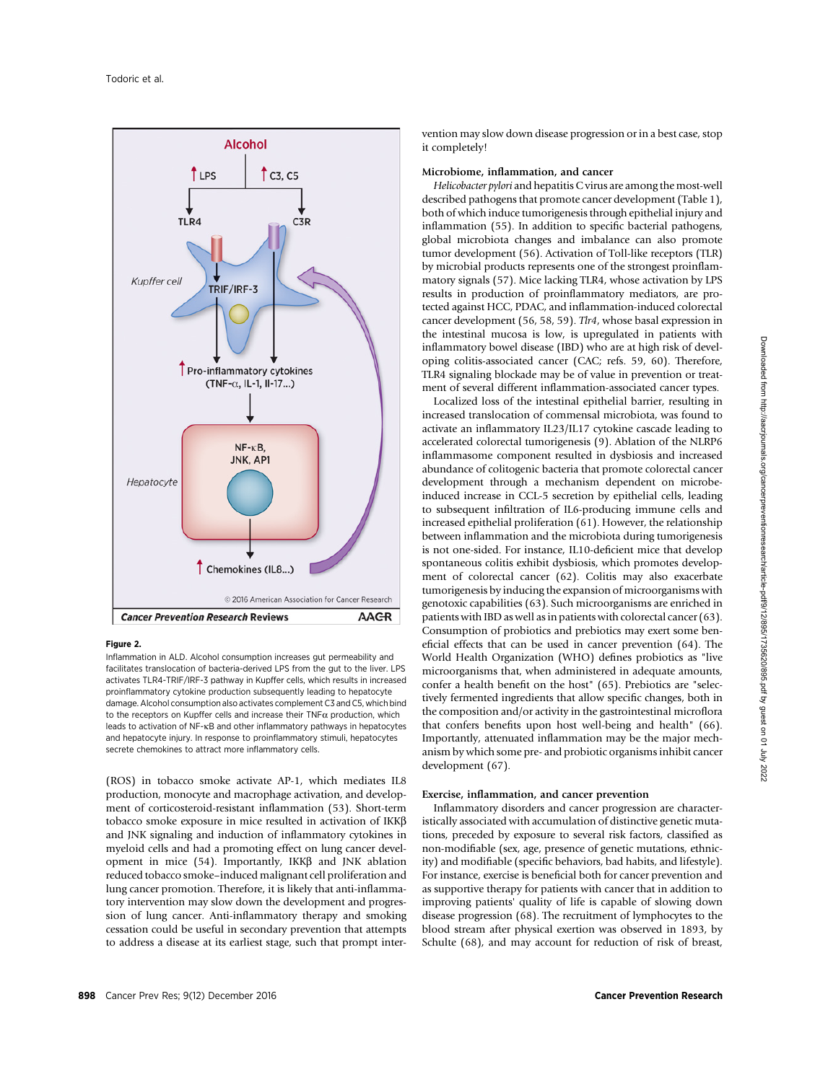

#### Figure 2.

Inflammation in ALD. Alcohol consumption increases gut permeability and facilitates translocation of bacteria-derived LPS from the gut to the liver. LPS activates TLR4-TRIF/IRF-3 pathway in Kupffer cells, which results in increased proinflammatory cytokine production subsequently leading to hepatocyte damage. Alcohol consumption also activates complement C3 and C5, which bind to the receptors on Kupffer cells and increase their  $TNF\alpha$  production, which leads to activation of NF-kB and other inflammatory pathways in hepatocytes and hepatocyte injury. In response to proinflammatory stimuli, hepatocytes secrete chemokines to attract more inflammatory cells.

(ROS) in tobacco smoke activate AP-1, which mediates IL8 production, monocyte and macrophage activation, and development of corticosteroid-resistant inflammation (53). Short-term tobacco smoke exposure in mice resulted in activation of IKKb and JNK signaling and induction of inflammatory cytokines in myeloid cells and had a promoting effect on lung cancer development in mice  $(54)$ . Importantly, IKK $\beta$  and JNK ablation reduced tobacco smoke–induced malignant cell proliferation and lung cancer promotion. Therefore, it is likely that anti-inflammatory intervention may slow down the development and progression of lung cancer. Anti-inflammatory therapy and smoking cessation could be useful in secondary prevention that attempts to address a disease at its earliest stage, such that prompt intervention may slow down disease progression or in a best case, stop it completely!

#### Microbiome, inflammation, and cancer

Helicobacter pylori and hepatitis C virus are among the most-well described pathogens that promote cancer development (Table 1), both of which induce tumorigenesis through epithelial injury and inflammation (55). In addition to specific bacterial pathogens, global microbiota changes and imbalance can also promote tumor development (56). Activation of Toll-like receptors (TLR) by microbial products represents one of the strongest proinflammatory signals (57). Mice lacking TLR4, whose activation by LPS results in production of proinflammatory mediators, are protected against HCC, PDAC, and inflammation-induced colorectal cancer development (56, 58, 59). Tlr4, whose basal expression in the intestinal mucosa is low, is upregulated in patients with inflammatory bowel disease (IBD) who are at high risk of developing colitis-associated cancer (CAC; refs. 59, 60). Therefore, TLR4 signaling blockade may be of value in prevention or treatment of several different inflammation-associated cancer types.

Localized loss of the intestinal epithelial barrier, resulting in increased translocation of commensal microbiota, was found to activate an inflammatory IL23/IL17 cytokine cascade leading to accelerated colorectal tumorigenesis (9). Ablation of the NLRP6 inflammasome component resulted in dysbiosis and increased abundance of colitogenic bacteria that promote colorectal cancer development through a mechanism dependent on microbeinduced increase in CCL-5 secretion by epithelial cells, leading to subsequent infiltration of IL6-producing immune cells and increased epithelial proliferation (61). However, the relationship between inflammation and the microbiota during tumorigenesis is not one-sided. For instance, IL10-deficient mice that develop spontaneous colitis exhibit dysbiosis, which promotes development of colorectal cancer (62). Colitis may also exacerbate tumorigenesis by inducing the expansion of microorganisms with genotoxic capabilities (63). Such microorganisms are enriched in patients with IBD as well as in patients with colorectal cancer (63). Consumption of probiotics and prebiotics may exert some beneficial effects that can be used in cancer prevention (64). The World Health Organization (WHO) defines probiotics as "live microorganisms that, when administered in adequate amounts, confer a health benefit on the host" (65). Prebiotics are "selectively fermented ingredients that allow specific changes, both in the composition and/or activity in the gastrointestinal microflora that confers benefits upon host well-being and health" (66). Importantly, attenuated inflammation may be the major mechanism by which some pre- and probiotic organisms inhibit cancer development (67).

#### Exercise, inflammation, and cancer prevention

Inflammatory disorders and cancer progression are characteristically associated with accumulation of distinctive genetic mutations, preceded by exposure to several risk factors, classified as non-modifiable (sex, age, presence of genetic mutations, ethnicity) and modifiable (specific behaviors, bad habits, and lifestyle). For instance, exercise is beneficial both for cancer prevention and as supportive therapy for patients with cancer that in addition to improving patients' quality of life is capable of slowing down disease progression (68). The recruitment of lymphocytes to the blood stream after physical exertion was observed in 1893, by Schulte (68), and may account for reduction of risk of breast,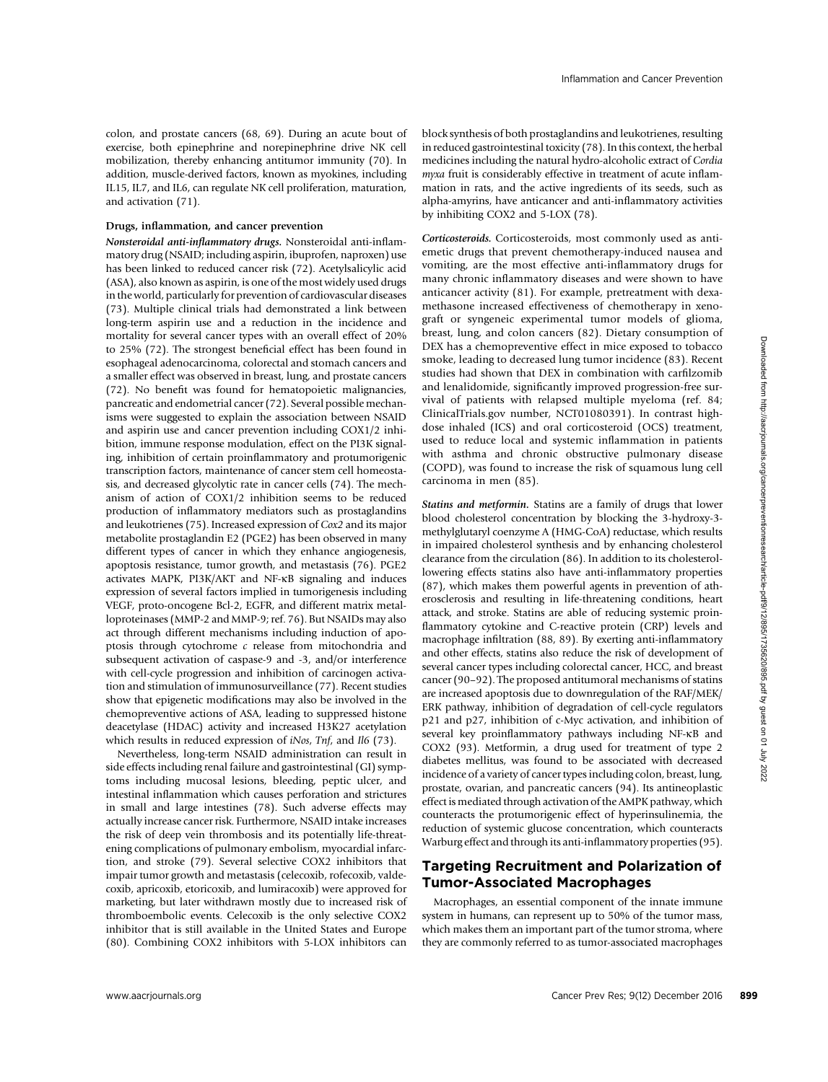colon, and prostate cancers (68, 69). During an acute bout of exercise, both epinephrine and norepinephrine drive NK cell mobilization, thereby enhancing antitumor immunity (70). In addition, muscle-derived factors, known as myokines, including IL15, IL7, and IL6, can regulate NK cell proliferation, maturation, and activation (71).

#### Drugs, inflammation, and cancer prevention

Nonsteroidal anti-inflammatory drugs. Nonsteroidal anti-inflammatory drug (NSAID; including aspirin, ibuprofen, naproxen) use has been linked to reduced cancer risk (72). Acetylsalicylic acid (ASA), also known as aspirin, is one of the most widely used drugs in the world, particularly for prevention of cardiovascular diseases (73). Multiple clinical trials had demonstrated a link between long-term aspirin use and a reduction in the incidence and mortality for several cancer types with an overall effect of 20% to 25% (72). The strongest beneficial effect has been found in esophageal adenocarcinoma, colorectal and stomach cancers and a smaller effect was observed in breast, lung, and prostate cancers (72). No benefit was found for hematopoietic malignancies, pancreatic and endometrial cancer (72). Several possible mechanisms were suggested to explain the association between NSAID and aspirin use and cancer prevention including COX1/2 inhibition, immune response modulation, effect on the PI3K signaling, inhibition of certain proinflammatory and protumorigenic transcription factors, maintenance of cancer stem cell homeostasis, and decreased glycolytic rate in cancer cells (74). The mechanism of action of COX1/2 inhibition seems to be reduced production of inflammatory mediators such as prostaglandins and leukotrienes (75). Increased expression of Cox2 and its major metabolite prostaglandin E2 (PGE2) has been observed in many different types of cancer in which they enhance angiogenesis, apoptosis resistance, tumor growth, and metastasis (76). PGE2 activates MAPK, PI3K/AKT and NF-kB signaling and induces expression of several factors implied in tumorigenesis including VEGF, proto-oncogene Bcl-2, EGFR, and different matrix metalloproteinases (MMP-2 and MMP-9; ref. 76). But NSAIDs may also act through different mechanisms including induction of apoptosis through cytochrome c release from mitochondria and subsequent activation of caspase-9 and -3, and/or interference with cell-cycle progression and inhibition of carcinogen activation and stimulation of immunosurveillance (77). Recent studies show that epigenetic modifications may also be involved in the chemopreventive actions of ASA, leading to suppressed histone deacetylase (HDAC) activity and increased H3K27 acetylation which results in reduced expression of *iNos*, *Tnf*, and *Il6* (73).

Nevertheless, long-term NSAID administration can result in side effects including renal failure and gastrointestinal (GI) symptoms including mucosal lesions, bleeding, peptic ulcer, and intestinal inflammation which causes perforation and strictures in small and large intestines (78). Such adverse effects may actually increase cancer risk. Furthermore, NSAID intake increases the risk of deep vein thrombosis and its potentially life-threatening complications of pulmonary embolism, myocardial infarction, and stroke (79). Several selective COX2 inhibitors that impair tumor growth and metastasis (celecoxib, rofecoxib, valdecoxib, apricoxib, etoricoxib, and lumiracoxib) were approved for marketing, but later withdrawn mostly due to increased risk of thromboembolic events. Celecoxib is the only selective COX2 inhibitor that is still available in the United States and Europe (80). Combining COX2 inhibitors with 5-LOX inhibitors can block synthesis of both prostaglandins and leukotrienes, resulting in reduced gastrointestinal toxicity (78). In this context, the herbal medicines including the natural hydro-alcoholic extract of Cordia myxa fruit is considerably effective in treatment of acute inflammation in rats, and the active ingredients of its seeds, such as alpha-amyrins, have anticancer and anti-inflammatory activities by inhibiting COX2 and 5-LOX (78).

Corticosteroids. Corticosteroids, most commonly used as antiemetic drugs that prevent chemotherapy-induced nausea and vomiting, are the most effective anti-inflammatory drugs for many chronic inflammatory diseases and were shown to have anticancer activity (81). For example, pretreatment with dexamethasone increased effectiveness of chemotherapy in xenograft or syngeneic experimental tumor models of glioma, breast, lung, and colon cancers (82). Dietary consumption of DEX has a chemopreventive effect in mice exposed to tobacco smoke, leading to decreased lung tumor incidence (83). Recent studies had shown that DEX in combination with carfilzomib and lenalidomide, significantly improved progression-free survival of patients with relapsed multiple myeloma (ref. 84; ClinicalTrials.gov number, NCT01080391). In contrast highdose inhaled (ICS) and oral corticosteroid (OCS) treatment, used to reduce local and systemic inflammation in patients with asthma and chronic obstructive pulmonary disease (COPD), was found to increase the risk of squamous lung cell carcinoma in men (85).

Statins and metformin. Statins are a family of drugs that lower blood cholesterol concentration by blocking the 3-hydroxy-3 methylglutaryl coenzyme A (HMG-CoA) reductase, which results in impaired cholesterol synthesis and by enhancing cholesterol clearance from the circulation (86). In addition to its cholesterollowering effects statins also have anti-inflammatory properties (87), which makes them powerful agents in prevention of atherosclerosis and resulting in life-threatening conditions, heart attack, and stroke. Statins are able of reducing systemic proinflammatory cytokine and C-reactive protein (CRP) levels and macrophage infiltration (88, 89). By exerting anti-inflammatory and other effects, statins also reduce the risk of development of several cancer types including colorectal cancer, HCC, and breast cancer (90–92). The proposed antitumoral mechanisms of statins are increased apoptosis due to downregulation of the RAF/MEK/ ERK pathway, inhibition of degradation of cell-cycle regulators p21 and p27, inhibition of c-Myc activation, and inhibition of several key proinflammatory pathways including NF-kB and COX2 (93). Metformin, a drug used for treatment of type 2 diabetes mellitus, was found to be associated with decreased incidence of a variety of cancer types including colon, breast, lung, prostate, ovarian, and pancreatic cancers (94). Its antineoplastic effect is mediated through activation of the AMPK pathway, which counteracts the protumorigenic effect of hyperinsulinemia, the reduction of systemic glucose concentration, which counteracts Warburg effect and through its anti-inflammatory properties (95).

# Targeting Recruitment and Polarization of Tumor-Associated Macrophages

Macrophages, an essential component of the innate immune system in humans, can represent up to 50% of the tumor mass, which makes them an important part of the tumor stroma, where they are commonly referred to as tumor-associated macrophages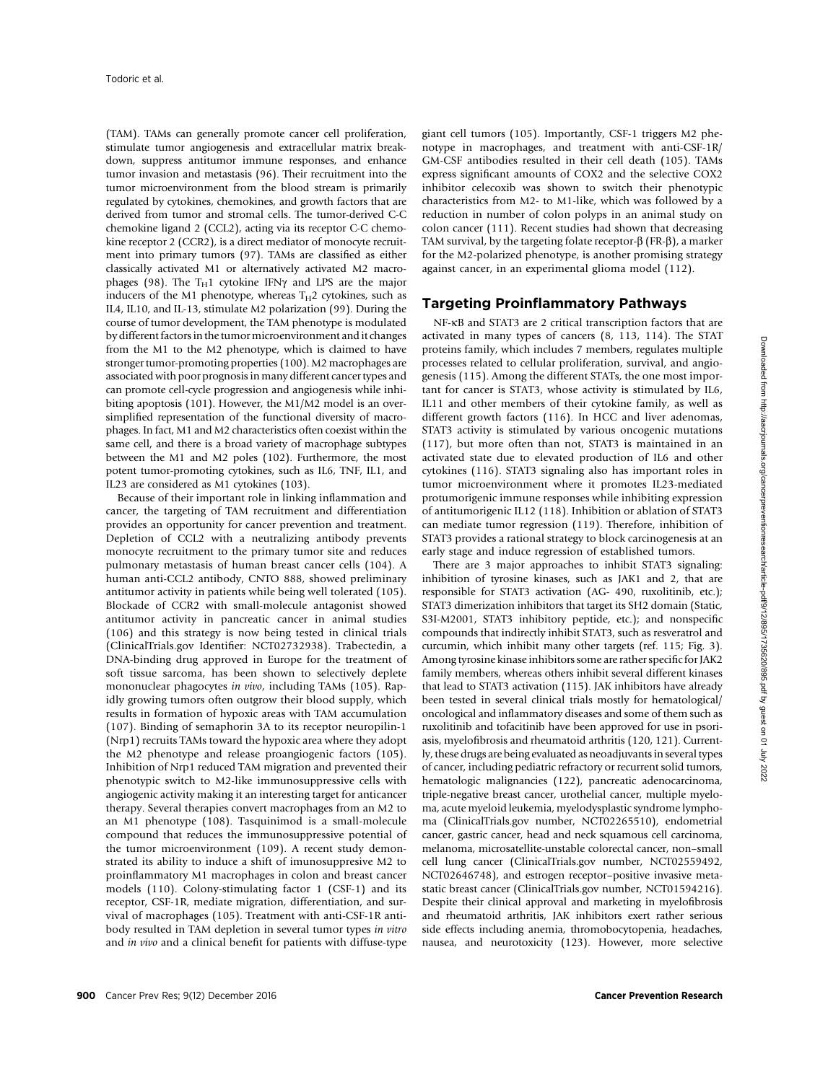(TAM). TAMs can generally promote cancer cell proliferation, stimulate tumor angiogenesis and extracellular matrix breakdown, suppress antitumor immune responses, and enhance tumor invasion and metastasis (96). Their recruitment into the tumor microenvironment from the blood stream is primarily regulated by cytokines, chemokines, and growth factors that are derived from tumor and stromal cells. The tumor-derived C-C chemokine ligand 2 (CCL2), acting via its receptor C-C chemokine receptor 2 (CCR2), is a direct mediator of monocyte recruitment into primary tumors (97). TAMs are classified as either classically activated M1 or alternatively activated M2 macrophages (98). The  $T_H1$  cytokine IFN $\gamma$  and LPS are the major inducers of the M1 phenotype, whereas  $T_H2$  cytokines, such as IL4, IL10, and IL-13, stimulate M2 polarization (99). During the course of tumor development, the TAM phenotype is modulated by different factors in the tumor microenvironment and it changes from the M1 to the M2 phenotype, which is claimed to have stronger tumor-promoting properties (100). M2 macrophages are associated with poor prognosis in many different cancer types and can promote cell-cycle progression and angiogenesis while inhibiting apoptosis (101). However, the M1/M2 model is an oversimplified representation of the functional diversity of macrophages. In fact, M1 and M2 characteristics often coexist within the same cell, and there is a broad variety of macrophage subtypes between the M1 and M2 poles (102). Furthermore, the most potent tumor-promoting cytokines, such as IL6, TNF, IL1, and IL23 are considered as M1 cytokines (103).

Because of their important role in linking inflammation and cancer, the targeting of TAM recruitment and differentiation provides an opportunity for cancer prevention and treatment. Depletion of CCL2 with a neutralizing antibody prevents monocyte recruitment to the primary tumor site and reduces pulmonary metastasis of human breast cancer cells (104). A human anti-CCL2 antibody, CNTO 888, showed preliminary antitumor activity in patients while being well tolerated (105). Blockade of CCR2 with small-molecule antagonist showed antitumor activity in pancreatic cancer in animal studies (106) and this strategy is now being tested in clinical trials (ClinicalTrials.gov Identifier: NCT02732938). Trabectedin, a DNA-binding drug approved in Europe for the treatment of soft tissue sarcoma, has been shown to selectively deplete mononuclear phagocytes in vivo, including TAMs (105). Rapidly growing tumors often outgrow their blood supply, which results in formation of hypoxic areas with TAM accumulation (107). Binding of semaphorin 3A to its receptor neuropilin-1 (Nrp1) recruits TAMs toward the hypoxic area where they adopt the M2 phenotype and release proangiogenic factors (105). Inhibition of Nrp1 reduced TAM migration and prevented their phenotypic switch to M2-like immunosuppressive cells with angiogenic activity making it an interesting target for anticancer therapy. Several therapies convert macrophages from an M2 to an M1 phenotype (108). Tasquinimod is a small-molecule compound that reduces the immunosuppressive potential of the tumor microenvironment (109). A recent study demonstrated its ability to induce a shift of imunosuppresive M2 to proinflammatory M1 macrophages in colon and breast cancer models (110). Colony-stimulating factor 1 (CSF-1) and its receptor, CSF-1R, mediate migration, differentiation, and survival of macrophages (105). Treatment with anti-CSF-1R antibody resulted in TAM depletion in several tumor types in vitro and *in vivo* and a clinical benefit for patients with diffuse-type giant cell tumors (105). Importantly, CSF-1 triggers M2 phenotype in macrophages, and treatment with anti-CSF-1R/ GM-CSF antibodies resulted in their cell death (105). TAMs express significant amounts of COX2 and the selective COX2 inhibitor celecoxib was shown to switch their phenotypic characteristics from M2- to M1-like, which was followed by a reduction in number of colon polyps in an animal study on colon cancer (111). Recent studies had shown that decreasing TAM survival, by the targeting folate receptor- $\beta$  (FR- $\beta$ ), a marker for the M2-polarized phenotype, is another promising strategy against cancer, in an experimental glioma model (112).

## Targeting Proinflammatory Pathways

NF-kB and STAT3 are 2 critical transcription factors that are activated in many types of cancers (8, 113, 114). The STAT proteins family, which includes 7 members, regulates multiple processes related to cellular proliferation, survival, and angiogenesis (115). Among the different STATs, the one most important for cancer is STAT3, whose activity is stimulated by IL6, IL11 and other members of their cytokine family, as well as different growth factors (116). In HCC and liver adenomas, STAT3 activity is stimulated by various oncogenic mutations (117), but more often than not, STAT3 is maintained in an activated state due to elevated production of IL6 and other cytokines (116). STAT3 signaling also has important roles in tumor microenvironment where it promotes IL23-mediated protumorigenic immune responses while inhibiting expression of antitumorigenic IL12 (118). Inhibition or ablation of STAT3 can mediate tumor regression (119). Therefore, inhibition of STAT3 provides a rational strategy to block carcinogenesis at an early stage and induce regression of established tumors.

There are 3 major approaches to inhibit STAT3 signaling: inhibition of tyrosine kinases, such as JAK1 and 2, that are responsible for STAT3 activation (AG- 490, ruxolitinib, etc.); STAT3 dimerization inhibitors that target its SH2 domain (Static, S3I-M2001, STAT3 inhibitory peptide, etc.); and nonspecific compounds that indirectly inhibit STAT3, such as resveratrol and curcumin, which inhibit many other targets (ref. 115; Fig. 3). Among tyrosine kinase inhibitors some are rather specific for JAK2 family members, whereas others inhibit several different kinases that lead to STAT3 activation (115). JAK inhibitors have already been tested in several clinical trials mostly for hematological/ oncological and inflammatory diseases and some of them such as ruxolitinib and tofacitinib have been approved for use in psoriasis, myelofibrosis and rheumatoid arthritis (120, 121). Currently, these drugs are being evaluated as neoadjuvants in several types of cancer, including pediatric refractory or recurrent solid tumors, hematologic malignancies (122), pancreatic adenocarcinoma, triple-negative breast cancer, urothelial cancer, multiple myeloma, acute myeloid leukemia, myelodysplastic syndrome lymphoma (ClinicalTrials.gov number, NCT02265510), endometrial cancer, gastric cancer, head and neck squamous cell carcinoma, melanoma, microsatellite-unstable colorectal cancer, non–small cell lung cancer (ClinicalTrials.gov number, NCT02559492, NCT02646748), and estrogen receptor–positive invasive metastatic breast cancer (ClinicalTrials.gov number, NCT01594216). Despite their clinical approval and marketing in myelofibrosis and rheumatoid arthritis, JAK inhibitors exert rather serious side effects including anemia, thromobocytopenia, headaches, nausea, and neurotoxicity (123). However, more selective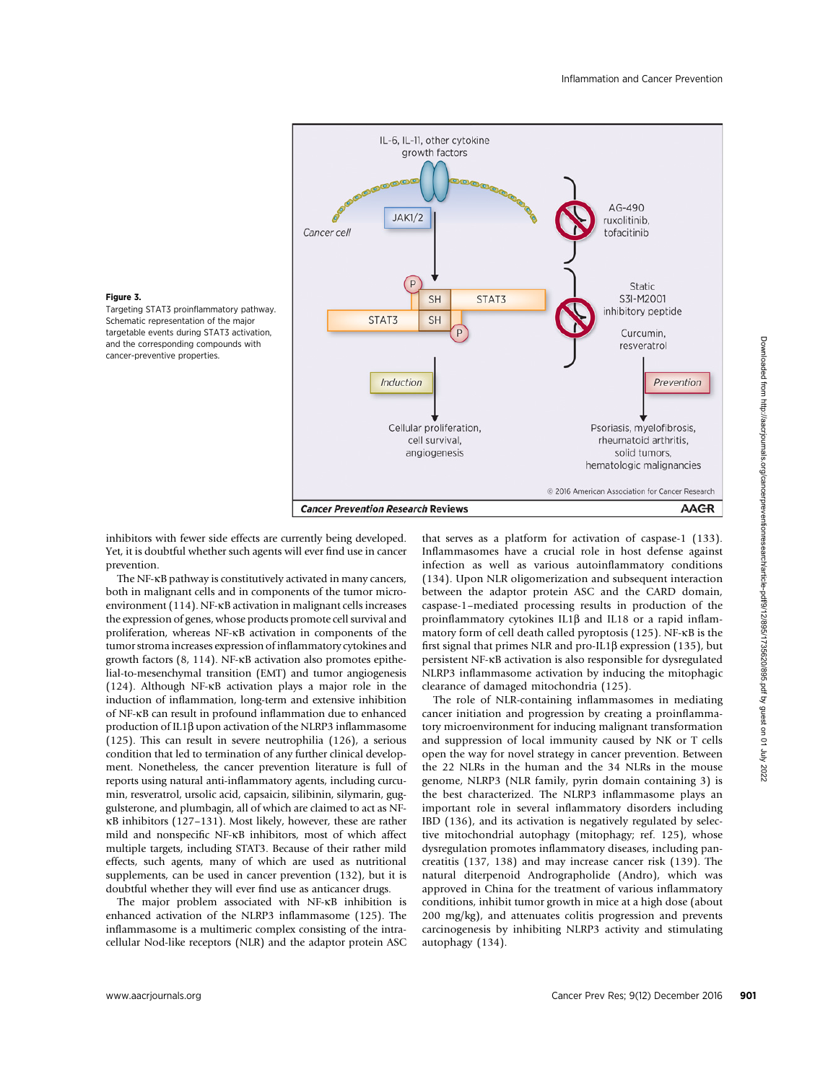

Figure 3.

Targeting STAT3 proinflammatory pathway. Schematic representation of the major targetable events during STAT3 activation, and the corresponding compounds with cancer-preventive properties.

inhibitors with fewer side effects are currently being developed. Yet, it is doubtful whether such agents will ever find use in cancer prevention.

The NF-kB pathway is constitutively activated in many cancers, both in malignant cells and in components of the tumor microenvironment (114). NF-kB activation in malignant cells increases the expression of genes, whose products promote cell survival and proliferation, whereas NF-kB activation in components of the tumor stroma increases expression of inflammatory cytokines and growth factors (8, 114). NF-kB activation also promotes epithelial-to-mesenchymal transition (EMT) and tumor angiogenesis (124). Although NF-kB activation plays a major role in the induction of inflammation, long-term and extensive inhibition of NF-kB can result in profound inflammation due to enhanced production of IL1 $\beta$  upon activation of the NLRP3 inflammasome (125). This can result in severe neutrophilia (126), a serious condition that led to termination of any further clinical development. Nonetheless, the cancer prevention literature is full of reports using natural anti-inflammatory agents, including curcumin, resveratrol, ursolic acid, capsaicin, silibinin, silymarin, guggulsterone, and plumbagin, all of which are claimed to act as NFkB inhibitors (127–131). Most likely, however, these are rather mild and nonspecific NF-kB inhibitors, most of which affect multiple targets, including STAT3. Because of their rather mild effects, such agents, many of which are used as nutritional supplements, can be used in cancer prevention (132), but it is doubtful whether they will ever find use as anticancer drugs.

The major problem associated with NF-KB inhibition is enhanced activation of the NLRP3 inflammasome (125). The inflammasome is a multimeric complex consisting of the intracellular Nod-like receptors (NLR) and the adaptor protein ASC that serves as a platform for activation of caspase-1 (133). Inflammasomes have a crucial role in host defense against infection as well as various autoinflammatory conditions (134). Upon NLR oligomerization and subsequent interaction between the adaptor protein ASC and the CARD domain, caspase-1–mediated processing results in production of the proinflammatory cytokines IL1 $\beta$  and IL18 or a rapid inflammatory form of cell death called pyroptosis (125). NF-kB is the first signal that primes NLR and pro-IL1 $\beta$  expression (135), but persistent NF-kB activation is also responsible for dysregulated NLRP3 inflammasome activation by inducing the mitophagic clearance of damaged mitochondria (125).

The role of NLR-containing inflammasomes in mediating cancer initiation and progression by creating a proinflammatory microenvironment for inducing malignant transformation and suppression of local immunity caused by NK or T cells open the way for novel strategy in cancer prevention. Between the 22 NLRs in the human and the 34 NLRs in the mouse genome, NLRP3 (NLR family, pyrin domain containing 3) is the best characterized. The NLRP3 inflammasome plays an important role in several inflammatory disorders including IBD (136), and its activation is negatively regulated by selective mitochondrial autophagy (mitophagy; ref. 125), whose dysregulation promotes inflammatory diseases, including pancreatitis (137, 138) and may increase cancer risk (139). The natural diterpenoid Andrographolide (Andro), which was approved in China for the treatment of various inflammatory conditions, inhibit tumor growth in mice at a high dose (about 200 mg/kg), and attenuates colitis progression and prevents carcinogenesis by inhibiting NLRP3 activity and stimulating autophagy (134).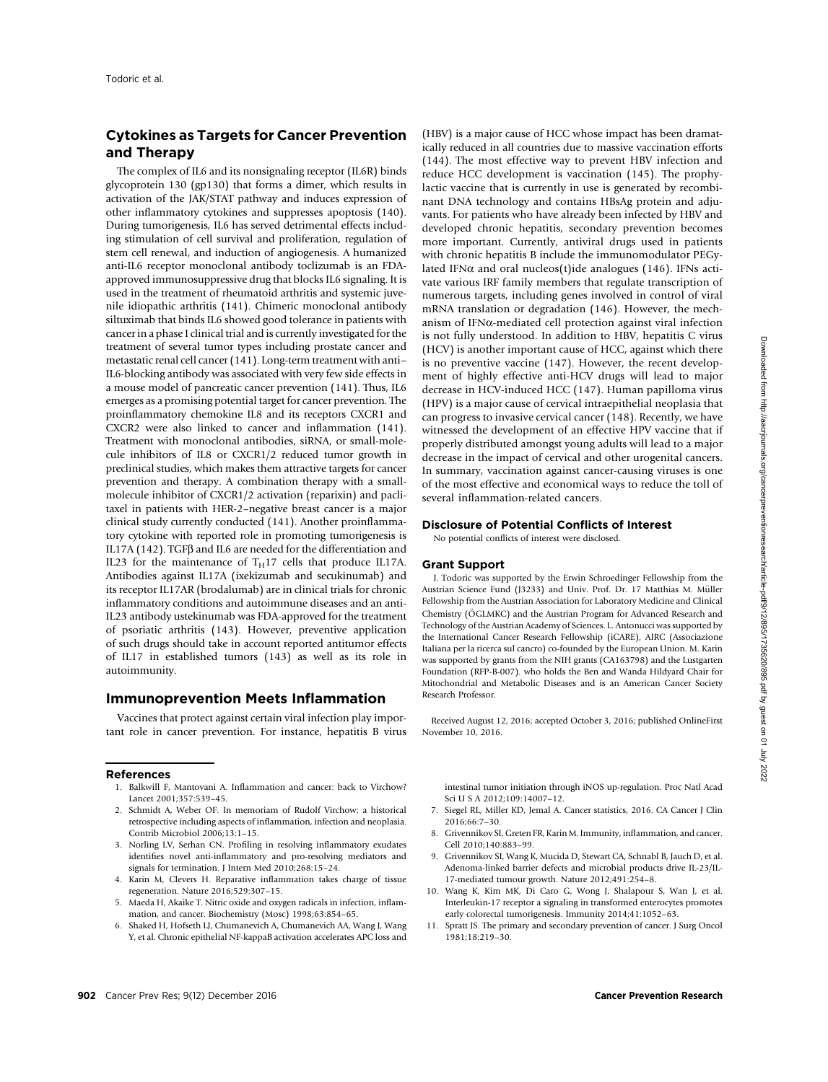# Cytokines as Targets for Cancer Prevention and Therapy

The complex of IL6 and its nonsignaling receptor (IL6R) binds glycoprotein 130 (gp130) that forms a dimer, which results in activation of the JAK/STAT pathway and induces expression of other inflammatory cytokines and suppresses apoptosis (140). During tumorigenesis, IL6 has served detrimental effects including stimulation of cell survival and proliferation, regulation of stem cell renewal, and induction of angiogenesis. A humanized anti-IL6 receptor monoclonal antibody toclizumab is an FDAapproved immunosuppressive drug that blocks IL6 signaling. It is used in the treatment of rheumatoid arthritis and systemic juvenile idiopathic arthritis (141). Chimeric monoclonal antibody siltuximab that binds IL6 showed good tolerance in patients with cancer in a phase I clinical trial and is currently investigated for the treatment of several tumor types including prostate cancer and metastatic renal cell cancer (141). Long-term treatment with anti– IL6-blocking antibody was associated with very few side effects in a mouse model of pancreatic cancer prevention (141). Thus, IL6 emerges as a promising potential target for cancer prevention. The proinflammatory chemokine IL8 and its receptors CXCR1 and CXCR2 were also linked to cancer and inflammation (141). Treatment with monoclonal antibodies, siRNA, or small-molecule inhibitors of IL8 or CXCR1/2 reduced tumor growth in preclinical studies, which makes them attractive targets for cancer prevention and therapy. A combination therapy with a smallmolecule inhibitor of CXCR1/2 activation (reparixin) and paclitaxel in patients with HER-2–negative breast cancer is a major clinical study currently conducted (141). Another proinflammatory cytokine with reported role in promoting tumorigenesis is IL17A (142). TGFβ and IL6 are needed for the differentiation and IL23 for the maintenance of  $T_H17$  cells that produce IL17A. Antibodies against IL17A (ixekizumab and secukinumab) and its receptor IL17AR (brodalumab) are in clinical trials for chronic inflammatory conditions and autoimmune diseases and an anti-IL23 antibody ustekinumab was FDA-approved for the treatment of psoriatic arthritis (143). However, preventive application of such drugs should take in account reported antitumor effects of IL17 in established tumors (143) as well as its role in autoimmunity.

## Immunoprevention Meets Inflammation

Vaccines that protect against certain viral infection play important role in cancer prevention. For instance, hepatitis B virus

#### References

- 1. Balkwill F, Mantovani A. Inflammation and cancer: back to Virchow? Lancet 2001;357:539–45.
- 2. Schmidt A, Weber OF. In memoriam of Rudolf Virchow: a historical retrospective including aspects of inflammation, infection and neoplasia. Contrib Microbiol 2006;13:1–15.
- 3. Norling LV, Serhan CN. Profiling in resolving inflammatory exudates identifies novel anti-inflammatory and pro-resolving mediators and signals for termination. J Intern Med 2010;268:15–24.
- 4. Karin M, Clevers H. Reparative inflammation takes charge of tissue regeneration. Nature 2016;529:307–15.
- Maeda H, Akaike T. Nitric oxide and oxygen radicals in infection, inflammation, and cancer. Biochemistry (Mosc) 1998;63:854–65.
- 6. Shaked H, Hofseth LJ, Chumanevich A, Chumanevich AA, Wang J, Wang Y, et al. Chronic epithelial NF-kappaB activation accelerates APC loss and

(HBV) is a major cause of HCC whose impact has been dramatically reduced in all countries due to massive vaccination efforts (144). The most effective way to prevent HBV infection and reduce HCC development is vaccination (145). The prophylactic vaccine that is currently in use is generated by recombinant DNA technology and contains HBsAg protein and adjuvants. For patients who have already been infected by HBV and developed chronic hepatitis, secondary prevention becomes more important. Currently, antiviral drugs used in patients with chronic hepatitis B include the immunomodulator PEGylated IFN $\alpha$  and oral nucleos(t)ide analogues (146). IFNs activate various IRF family members that regulate transcription of numerous targets, including genes involved in control of viral mRNA translation or degradation (146). However, the mechanism of IFNa-mediated cell protection against viral infection is not fully understood. In addition to HBV, hepatitis C virus (HCV) is another important cause of HCC, against which there is no preventive vaccine (147). However, the recent development of highly effective anti-HCV drugs will lead to major decrease in HCV-induced HCC (147). Human papilloma virus (HPV) is a major cause of cervical intraepithelial neoplasia that can progress to invasive cervical cancer (148). Recently, we have witnessed the development of an effective HPV vaccine that if properly distributed amongst young adults will lead to a major decrease in the impact of cervical and other urogenital cancers. In summary, vaccination against cancer-causing viruses is one of the most effective and economical ways to reduce the toll of several inflammation-related cancers.

#### Disclosure of Potential Conflicts of Interest

No potential conflicts of interest were disclosed.

#### Grant Support

J. Todoric was supported by the Erwin Schroedinger Fellowship from the Austrian Science Fund (J3233) and Univ. Prof. Dr. 17 Matthias M. Müller Fellowship from the Austrian Association for Laboratory Medicine and Clinical Chemistry (ÖGLMKC) and the Austrian Program for Advanced Research and Technology of the Austrian Academy of Sciences. L. Antonucci was supported by the International Cancer Research Fellowship (iCARE), AIRC (Associazione Italiana per la ricerca sul cancro) co-founded by the European Union. M. Karin was supported by grants from the NIH grants (CA163798) and the Lustgarten Foundation (RFP-B-007). who holds the Ben and Wanda Hildyard Chair for Mitochondrial and Metabolic Diseases and is an American Cancer Society Research Professor.

Received August 12, 2016; accepted October 3, 2016; published OnlineFirst November 10, 2016.

intestinal tumor initiation through iNOS up-regulation. Proc Natl Acad Sci U S A 2012;109:14007–12.

- 7. Siegel RL, Miller KD, Jemal A. Cancer statistics, 2016. CA Cancer J Clin 2016;66:7–30.
- 8. Grivennikov SI, Greten FR, Karin M. Immunity, inflammation, and cancer. Cell 2010;140:883–99.
- 9. Grivennikov SI, Wang K, Mucida D, Stewart CA, Schnabl B, Jauch D, et al. Adenoma-linked barrier defects and microbial products drive IL-23/IL-17-mediated tumour growth. Nature 2012;491:254–8.
- 10. Wang K, Kim MK, Di Caro G, Wong J, Shalapour S, Wan J, et al. Interleukin-17 receptor a signaling in transformed enterocytes promotes early colorectal tumorigenesis. Immunity 2014;41:1052–63.
- 11. Spratt JS. The primary and secondary prevention of cancer. J Surg Oncol 1981;18:219–30.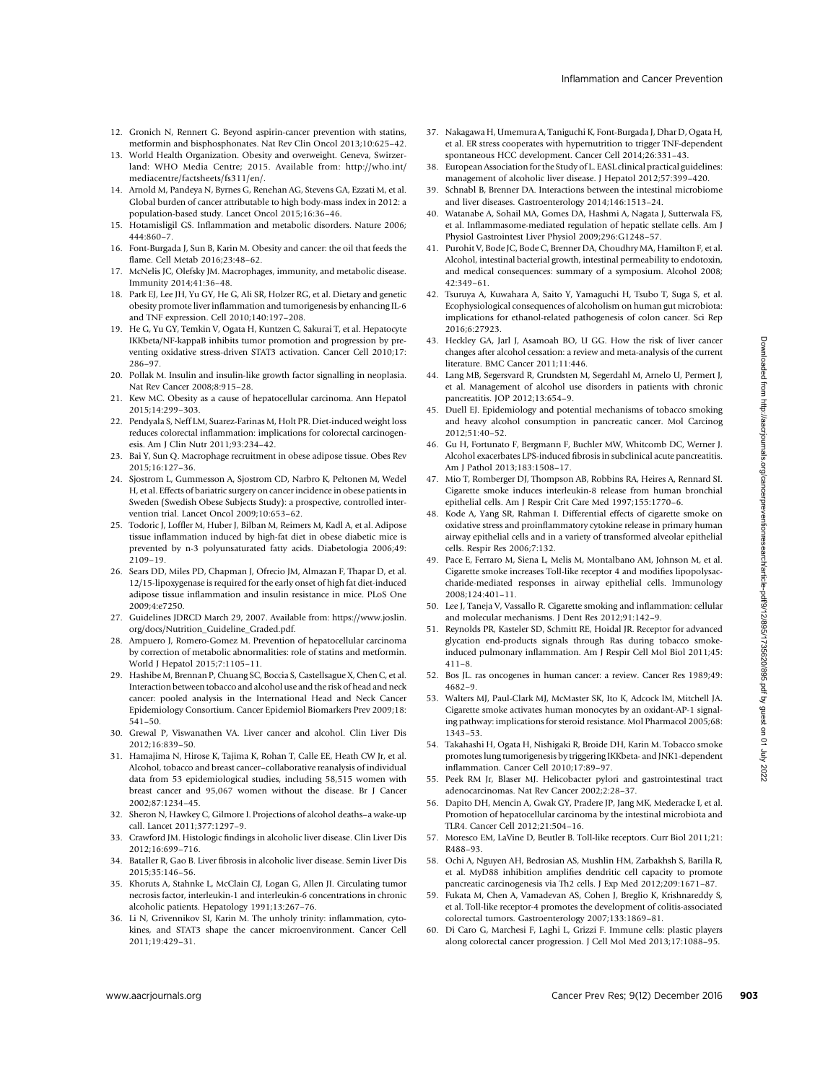- 12. Gronich N, Rennert G. Beyond aspirin-cancer prevention with statins, metformin and bisphosphonates. Nat Rev Clin Oncol 2013;10:625–42.
- 13. World Health Organization. Obesity and overweight. Geneva, Swirzerland: WHO Media Centre; 2015. Available from: http://who.int/ mediacentre/factsheets/fs311/en/.
- 14. Arnold M, Pandeya N, Byrnes G, Renehan AG, Stevens GA, Ezzati M, et al. Global burden of cancer attributable to high body-mass index in 2012: a population-based study. Lancet Oncol 2015;16:36–46.
- 15. Hotamisligil GS. Inflammation and metabolic disorders. Nature 2006; 444:860–7.
- 16. Font-Burgada J, Sun B, Karin M. Obesity and cancer: the oil that feeds the flame. Cell Metab 2016;23:48–62.
- 17. McNelis JC, Olefsky JM. Macrophages, immunity, and metabolic disease. Immunity 2014;41:36–48.
- 18. Park EJ, Lee JH, Yu GY, He G, Ali SR, Holzer RG, et al. Dietary and genetic obesity promote liver inflammation and tumorigenesis by enhancing IL-6 and TNF expression. Cell 2010;140:197–208.
- 19. He G, Yu GY, Temkin V, Ogata H, Kuntzen C, Sakurai T, et al. Hepatocyte IKKbeta/NF-kappaB inhibits tumor promotion and progression by preventing oxidative stress-driven STAT3 activation. Cancer Cell 2010;17: 286–97.
- 20. Pollak M. Insulin and insulin-like growth factor signalling in neoplasia. Nat Rev Cancer 2008;8:915–28.
- 21. Kew MC. Obesity as a cause of hepatocellular carcinoma. Ann Hepatol 2015;14:299–303.
- 22. Pendyala S, Neff LM, Suarez-Farinas M, Holt PR. Diet-induced weight loss reduces colorectal inflammation: implications for colorectal carcinogenesis. Am J Clin Nutr 2011;93:234–42.
- 23. Bai Y, Sun Q. Macrophage recruitment in obese adipose tissue. Obes Rev 2015;16:127–36.
- 24. Sjostrom L, Gummesson A, Sjostrom CD, Narbro K, Peltonen M, Wedel H, et al. Effects of bariatric surgery on cancer incidence in obese patients in Sweden (Swedish Obese Subjects Study): a prospective, controlled intervention trial. Lancet Oncol 2009;10:653–62.
- 25. Todoric J, Loffler M, Huber J, Bilban M, Reimers M, Kadl A, et al. Adipose tissue inflammation induced by high-fat diet in obese diabetic mice is prevented by n-3 polyunsaturated fatty acids. Diabetologia 2006;49: 2109–19.
- 26. Sears DD, Miles PD, Chapman J, Ofrecio JM, Almazan F, Thapar D, et al. 12/15-lipoxygenase is required for the early onset of high fat diet-induced adipose tissue inflammation and insulin resistance in mice. PLoS One 2009;4:e7250.
- 27. Guidelines JDRCD March 29, 2007. Available from: https://www.joslin. org/docs/Nutrition\_Guideline\_Graded.pdf.
- 28. Ampuero J, Romero-Gomez M. Prevention of hepatocellular carcinoma by correction of metabolic abnormalities: role of statins and metformin. World J Hepatol 2015;7:1105–11.
- 29. Hashibe M, Brennan P, Chuang SC, Boccia S, Castellsague X, Chen C, et al. Interaction between tobacco and alcohol use and the risk of head and neck cancer: pooled analysis in the International Head and Neck Cancer Epidemiology Consortium. Cancer Epidemiol Biomarkers Prev 2009;18: 541–50.
- 30. Grewal P, Viswanathen VA. Liver cancer and alcohol. Clin Liver Dis 2012;16:839–50.
- 31. Hamajima N, Hirose K, Tajima K, Rohan T, Calle EE, Heath CW Jr, et al. Alcohol, tobacco and breast cancer–collaborative reanalysis of individual data from 53 epidemiological studies, including 58,515 women with breast cancer and 95,067 women without the disease. Br J Cancer 2002;87:1234–45.
- 32. Sheron N, Hawkey C, Gilmore I. Projections of alcohol deaths–a wake-up call. Lancet 2011;377:1297–9.
- 33. Crawford JM. Histologic findings in alcoholic liver disease. Clin Liver Dis 2012;16:699–716.
- 34. Bataller R, Gao B. Liver fibrosis in alcoholic liver disease. Semin Liver Dis 2015;35:146–56.
- 35. Khoruts A, Stahnke L, McClain CJ, Logan G, Allen JI. Circulating tumor necrosis factor, interleukin-1 and interleukin-6 concentrations in chronic alcoholic patients. Hepatology 1991;13:267–76.
- 36. Li N, Grivennikov SI, Karin M. The unholy trinity: inflammation, cytokines, and STAT3 shape the cancer microenvironment. Cancer Cell 2011;19:429–31.
- 37. Nakagawa H, Umemura A, Taniguchi K, Font-Burgada J, Dhar D, Ogata H, et al. ER stress cooperates with hypernutrition to trigger TNF-dependent spontaneous HCC development. Cancer Cell 2014;26:331–43.
- 38. European Association for the Study of L. EASL clinical practical guidelines: management of alcoholic liver disease. J Hepatol 2012;57:399–420.
- 39. Schnabl B, Brenner DA. Interactions between the intestinal microbiome and liver diseases. Gastroenterology 2014;146:1513–24.
- 40. Watanabe A, Sohail MA, Gomes DA, Hashmi A, Nagata J, Sutterwala FS, et al. Inflammasome-mediated regulation of hepatic stellate cells. Am J Physiol Gastrointest Liver Physiol 2009;296:G1248–57.
- 41. Purohit V, Bode JC, Bode C, Brenner DA, Choudhry MA, Hamilton F, et al. Alcohol, intestinal bacterial growth, intestinal permeability to endotoxin, and medical consequences: summary of a symposium. Alcohol 2008;  $42.349 - 61$
- 42. Tsuruya A, Kuwahara A, Saito Y, Yamaguchi H, Tsubo T, Suga S, et al. Ecophysiological consequences of alcoholism on human gut microbiota: implications for ethanol-related pathogenesis of colon cancer. Sci Rep 2016;6:27923.
- 43. Heckley GA, Jarl J, Asamoah BO, U GG. How the risk of liver cancer changes after alcohol cessation: a review and meta-analysis of the current literature. BMC Cancer 2011;11:446.
- 44. Lang MB, Segersvard R, Grundsten M, Segerdahl M, Arnelo U, Permert J, et al. Management of alcohol use disorders in patients with chronic pancreatitis. JOP 2012;13:654–9.
- 45. Duell EJ. Epidemiology and potential mechanisms of tobacco smoking and heavy alcohol consumption in pancreatic cancer. Mol Carcinog 2012;51:40–52.
- 46. Gu H, Fortunato F, Bergmann F, Buchler MW, Whitcomb DC, Werner J. Alcohol exacerbates LPS-induced fibrosis in subclinical acute pancreatitis. Am J Pathol 2013;183:1508–17.
- 47. Mio T, Romberger DJ, Thompson AB, Robbins RA, Heires A, Rennard SI. Cigarette smoke induces interleukin-8 release from human bronchial epithelial cells. Am J Respir Crit Care Med 1997;155:1770–6.
- 48. Kode A, Yang SR, Rahman I. Differential effects of cigarette smoke on oxidative stress and proinflammatory cytokine release in primary human airway epithelial cells and in a variety of transformed alveolar epithelial cells. Respir Res 2006;7:132.
- 49. Pace E, Ferraro M, Siena L, Melis M, Montalbano AM, Johnson M, et al. Cigarette smoke increases Toll-like receptor 4 and modifies lipopolysaccharide-mediated responses in airway epithelial cells. Immunology 2008;124:401–11.
- 50. Lee J, Taneja V, Vassallo R. Cigarette smoking and inflammation: cellular and molecular mechanisms. J Dent Res 2012;91:142–9.
- 51. Reynolds PR, Kasteler SD, Schmitt RE, Hoidal JR. Receptor for advanced glycation end-products signals through Ras during tobacco smokeinduced pulmonary inflammation. Am J Respir Cell Mol Biol 2011;45: 411–8.
- 52. Bos JL. ras oncogenes in human cancer: a review. Cancer Res 1989;49: 4682–9.
- 53. Walters MJ, Paul-Clark MJ, McMaster SK, Ito K, Adcock IM, Mitchell JA. Cigarette smoke activates human monocytes by an oxidant-AP-1 signaling pathway: implications for steroid resistance. Mol Pharmacol 2005;68: 1343–53.
- 54. Takahashi H, Ogata H, Nishigaki R, Broide DH, Karin M. Tobacco smoke promotes lung tumorigenesis by triggering IKKbeta- and JNK1-dependent inflammation. Cancer Cell 2010;17:89–97.
- 55. Peek RM Jr, Blaser MJ. Helicobacter pylori and gastrointestinal tract adenocarcinomas. Nat Rev Cancer 2002;2:28–37.
- 56. Dapito DH, Mencin A, Gwak GY, Pradere JP, Jang MK, Mederacke I, et al. Promotion of hepatocellular carcinoma by the intestinal microbiota and TLR4. Cancer Cell 2012;21:504–16.
- 57. Moresco EM, LaVine D, Beutler B. Toll-like receptors. Curr Biol 2011;21: R488–93.
- 58. Ochi A, Nguyen AH, Bedrosian AS, Mushlin HM, Zarbakhsh S, Barilla R, et al. MyD88 inhibition amplifies dendritic cell capacity to promote pancreatic carcinogenesis via Th2 cells. J Exp Med 2012;209:1671–87.
- 59. Fukata M, Chen A, Vamadevan AS, Cohen J, Breglio K, Krishnareddy S, et al. Toll-like receptor-4 promotes the development of colitis-associated colorectal tumors. Gastroenterology 2007;133:1869–81.
- 60. Di Caro G, Marchesi F, Laghi L, Grizzi F. Immune cells: plastic players along colorectal cancer progression. J Cell Mol Med 2013;17:1088–95.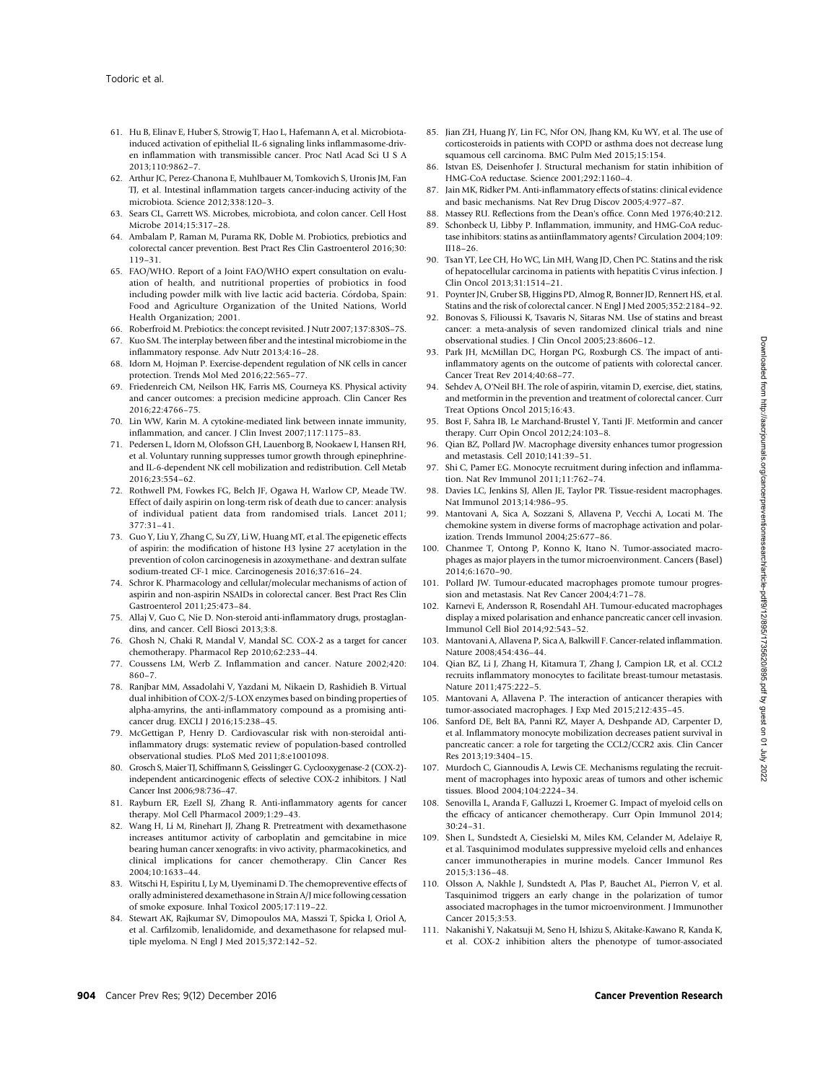- 61. Hu B, Elinav E, Huber S, Strowig T, Hao L, Hafemann A, et al. Microbiotainduced activation of epithelial IL-6 signaling links inflammasome-driven inflammation with transmissible cancer. Proc Natl Acad Sci U S A 2013;110:9862–7.
- 62. Arthur JC, Perez-Chanona E, Muhlbauer M, Tomkovich S, Uronis JM, Fan TJ, et al. Intestinal inflammation targets cancer-inducing activity of the microbiota. Science 2012;338:120–3.
- 63. Sears CL, Garrett WS. Microbes, microbiota, and colon cancer. Cell Host Microbe 2014;15:317–28.
- 64. Ambalam P, Raman M, Purama RK, Doble M. Probiotics, prebiotics and colorectal cancer prevention. Best Pract Res Clin Gastroenterol 2016;30: 119–31.
- 65. FAO/WHO. Report of a Joint FAO/WHO expert consultation on evaluation of health, and nutritional properties of probiotics in food including powder milk with live lactic acid bacteria. Córdoba, Spain: Food and Agriculture Organization of the United Nations, World Health Organization; 2001.
- 66. Roberfroid M. Prebiotics: the concept revisited. J Nutr 2007;137:830S–7S.
- 67. Kuo SM. The interplay between fiber and the intestinal microbiome in the inflammatory response. Adv Nutr 2013;4:16–28.
- 68. Idorn M, Hojman P. Exercise-dependent regulation of NK cells in cancer protection. Trends Mol Med 2016;22:565–77.
- 69. Friedenreich CM, Neilson HK, Farris MS, Courneya KS. Physical activity and cancer outcomes: a precision medicine approach. Clin Cancer Res 2016;22:4766–75.
- 70. Lin WW, Karin M. A cytokine-mediated link between innate immunity, inflammation, and cancer. J Clin Invest 2007;117:1175–83.
- 71. Pedersen L, Idorn M, Olofsson GH, Lauenborg B, Nookaew I, Hansen RH, et al. Voluntary running suppresses tumor growth through epinephrineand IL-6-dependent NK cell mobilization and redistribution. Cell Metab 2016;23:554–62.
- 72. Rothwell PM, Fowkes FG, Belch JF, Ogawa H, Warlow CP, Meade TW. Effect of daily aspirin on long-term risk of death due to cancer: analysis of individual patient data from randomised trials. Lancet 2011; 377:31–41.
- 73. Guo Y, Liu Y, Zhang C, Su ZY, Li W, Huang MT, et al. The epigenetic effects of aspirin: the modification of histone H3 lysine 27 acetylation in the prevention of colon carcinogenesis in azoxymethane- and dextran sulfate sodium-treated CF-1 mice. Carcinogenesis 2016;37:616–24.
- 74. Schror K. Pharmacology and cellular/molecular mechanisms of action of aspirin and non-aspirin NSAIDs in colorectal cancer. Best Pract Res Clin Gastroenterol 2011;25:473–84.
- 75. Allaj V, Guo C, Nie D. Non-steroid anti-inflammatory drugs, prostaglandins, and cancer. Cell Biosci 2013;3:8.
- 76. Ghosh N, Chaki R, Mandal V, Mandal SC. COX-2 as a target for cancer chemotherapy. Pharmacol Rep 2010;62:233–44.
- 77. Coussens LM, Werb Z. Inflammation and cancer. Nature 2002;420: 860–7.
- 78. Ranjbar MM, Assadolahi V, Yazdani M, Nikaein D, Rashidieh B. Virtual dual inhibition of COX-2/5-LOX enzymes based on binding properties of alpha-amyrins, the anti-inflammatory compound as a promising anticancer drug. EXCLI J 2016;15:238–45.
- 79. McGettigan P, Henry D. Cardiovascular risk with non-steroidal antiinflammatory drugs: systematic review of population-based controlled observational studies. PLoS Med 2011;8:e1001098.
- 80. Grosch S, Maier TJ, Schiffmann S, Geisslinger G. Cyclooxygenase-2 (COX-2) independent anticarcinogenic effects of selective COX-2 inhibitors. J Natl Cancer Inst 2006;98:736–47.
- 81. Rayburn ER, Ezell SJ, Zhang R. Anti-inflammatory agents for cancer therapy. Mol Cell Pharmacol 2009;1:29–43.
- 82. Wang H, Li M, Rinehart JJ, Zhang R. Pretreatment with dexamethasone increases antitumor activity of carboplatin and gemcitabine in mice bearing human cancer xenografts: in vivo activity, pharmacokinetics, and clinical implications for cancer chemotherapy. Clin Cancer Res 2004;10:1633–44.
- 83. Witschi H, Espiritu I, Ly M, Uyeminami D. The chemopreventive effects of orally administered dexamethasone in Strain A/J mice following cessation of smoke exposure. Inhal Toxicol 2005;17:119–22.
- 84. Stewart AK, Rajkumar SV, Dimopoulos MA, Masszi T, Spicka I, Oriol A, et al. Carfilzomib, lenalidomide, and dexamethasone for relapsed multiple myeloma. N Engl J Med 2015;372:142–52.
- 85. Jian ZH, Huang JY, Lin FC, Nfor ON, Jhang KM, Ku WY, et al. The use of corticosteroids in patients with COPD or asthma does not decrease lung squamous cell carcinoma. BMC Pulm Med 2015;15:154.
- 86. Istvan ES, Deisenhofer J. Structural mechanism for statin inhibition of HMG-CoA reductase. Science 2001;292:1160–4.
- 87. Jain MK, Ridker PM. Anti-inflammatory effects of statins: clinical evidence and basic mechanisms. Nat Rev Drug Discov 2005;4:977–87.
- 88. Massey RU. Reflections from the Dean's office. Conn Med 1976;40:212.
- 89. Schonbeck U, Libby P. Inflammation, immunity, and HMG-CoA reductase inhibitors: statins as antiinflammatory agents? Circulation 2004;109: II18–26.
- 90. Tsan YT, Lee CH, Ho WC, Lin MH, Wang JD, Chen PC. Statins and the risk of hepatocellular carcinoma in patients with hepatitis C virus infection. J Clin Oncol 2013;31:1514–21.
- 91. Poynter JN, Gruber SB, Higgins PD, Almog R, Bonner JD, Rennert HS, et al. Statins and the risk of colorectal cancer. N Engl J Med 2005;352:2184–92.
- 92. Bonovas S, Filioussi K, Tsavaris N, Sitaras NM. Use of statins and breast cancer: a meta-analysis of seven randomized clinical trials and nine observational studies. J Clin Oncol 2005;23:8606–12.
- 93. Park JH, McMillan DC, Horgan PG, Roxburgh CS. The impact of antiinflammatory agents on the outcome of patients with colorectal cancer. Cancer Treat Rev 2014;40:68–77.
- 94. Sehdev A, O'Neil BH. The role of aspirin, vitamin D, exercise, diet, statins, and metformin in the prevention and treatment of colorectal cancer. Curr Treat Options Oncol 2015;16:43.
- 95. Bost F, Sahra IB, Le Marchand-Brustel Y, Tanti JF. Metformin and cancer therapy. Curr Opin Oncol 2012;24:103–8.
- 96. Qian BZ, Pollard JW. Macrophage diversity enhances tumor progression and metastasis. Cell 2010;141:39–51.
- 97. Shi C, Pamer EG. Monocyte recruitment during infection and inflammation. Nat Rev Immunol 2011;11:762–74.
- 98. Davies LC, Jenkins SJ, Allen JE, Taylor PR. Tissue-resident macrophages. Nat Immunol 2013;14:986–95.
- 99. Mantovani A, Sica A, Sozzani S, Allavena P, Vecchi A, Locati M. The chemokine system in diverse forms of macrophage activation and polarization. Trends Immunol 2004;25:677–86.
- 100. Chanmee T, Ontong P, Konno K, Itano N. Tumor-associated macrophages as major players in the tumor microenvironment. Cancers (Basel) 2014;6:1670–90.
- 101. Pollard JW. Tumour-educated macrophages promote tumour progression and metastasis. Nat Rev Cancer 2004;4:71–78.
- 102. Karnevi E, Andersson R, Rosendahl AH. Tumour-educated macrophages display a mixed polarisation and enhance pancreatic cancer cell invasion. Immunol Cell Biol 2014;92:543–52.
- 103. Mantovani A, Allavena P, Sica A, Balkwill F. Cancer-related inflammation. Nature 2008;454:436–44.
- 104. Qian BZ, Li J, Zhang H, Kitamura T, Zhang J, Campion LR, et al. CCL2 recruits inflammatory monocytes to facilitate breast-tumour metastasis. Nature 2011;475:222-5.
- 105. Mantovani A, Allavena P. The interaction of anticancer therapies with tumor-associated macrophages. J Exp Med 2015;212:435–45.
- 106. Sanford DE, Belt BA, Panni RZ, Mayer A, Deshpande AD, Carpenter D, et al. Inflammatory monocyte mobilization decreases patient survival in pancreatic cancer: a role for targeting the CCL2/CCR2 axis. Clin Cancer Res 2013;19:3404–15.
- 107. Murdoch C, Giannoudis A, Lewis CE. Mechanisms regulating the recruitment of macrophages into hypoxic areas of tumors and other ischemic tissues. Blood 2004;104:2224–34.
- 108. Senovilla L, Aranda F, Galluzzi L, Kroemer G. Impact of myeloid cells on the efficacy of anticancer chemotherapy. Curr Opin Immunol 2014; 30:24–31.
- 109. Shen L, Sundstedt A, Ciesielski M, Miles KM, Celander M, Adelaiye R, et al. Tasquinimod modulates suppressive myeloid cells and enhances cancer immunotherapies in murine models. Cancer Immunol Res 2015;3:136–48.
- 110. Olsson A, Nakhle J, Sundstedt A, Plas P, Bauchet AL, Pierron V, et al. Tasquinimod triggers an early change in the polarization of tumor associated macrophages in the tumor microenvironment. J Immunother Cancer 2015;3:53.
- 111. Nakanishi Y, Nakatsuji M, Seno H, Ishizu S, Akitake-Kawano R, Kanda K, et al. COX-2 inhibition alters the phenotype of tumor-associated